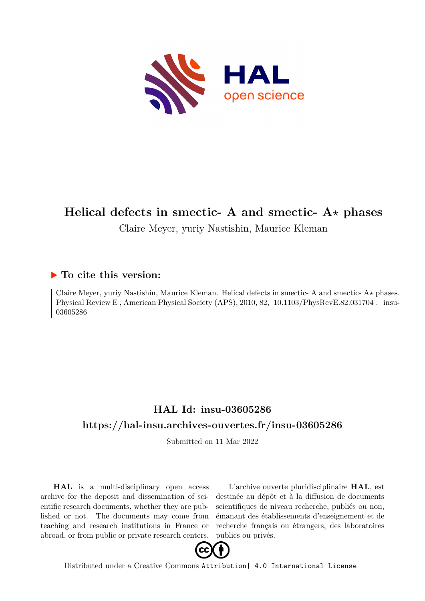

# **Helical defects in smectic- A and smectic- A***⋆* **phases**

# Claire Meyer, yuriy Nastishin, Maurice Kleman

# **To cite this version:**

Claire Meyer, yuriy Nastishin, Maurice Kleman. Helical defects in smectic- A and smectic- A*⋆* phases. Physical Review E, American Physical Society (APS), 2010, 82, 10.1103/PhysRevE.82.031704. insu-03605286

# **HAL Id: insu-03605286 <https://hal-insu.archives-ouvertes.fr/insu-03605286>**

Submitted on 11 Mar 2022

**HAL** is a multi-disciplinary open access archive for the deposit and dissemination of scientific research documents, whether they are published or not. The documents may come from teaching and research institutions in France or abroad, or from public or private research centers.

L'archive ouverte pluridisciplinaire **HAL**, est destinée au dépôt et à la diffusion de documents scientifiques de niveau recherche, publiés ou non, émanant des établissements d'enseignement et de recherche français ou étrangers, des laboratoires publics ou privés.



Distributed under a Creative Commons [Attribution| 4.0 International License](http://creativecommons.org/licenses/by/4.0/)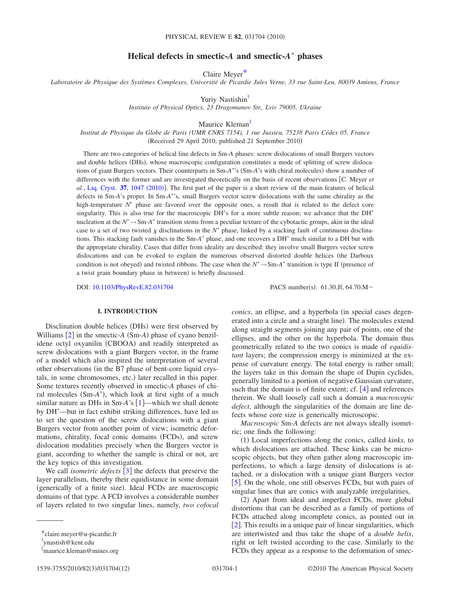# **Helical defects in smectic-***A* **and smectic-***A* **phases**

Claire Meyer\*

*Laboratoire de Physique des Systèmes Complexes, Université de Picardie Jules Verne, 33 rue Saint-Leu, 80039 Amiens, France*

Yuriy Nastishin<sup>†</sup>

*Institute of Physical Optics, 23 Dragomanov Str., Lviv 79005, Ukraine*

Maurice Kleman<sup>‡</sup>

*Institut de Physique du Globe de Paris (UMR CNRS 7154), 1 rue Jussieu, 75238 Paris Cédex 05, France* (Received 29 April 2010; published 21 September 2010)

There are two categories of helical line defects in Sm-*A* phases: screw dislocations of small Burgers vectors and double helices (DHs), whose macroscopic configuration constitutes a mode of splitting of screw dislocations of giant Burgers vectors. Their counterparts in Sm-*A*<sup>\*</sup>'s (Sm-*A*'s with chiral molecules) show a number of differences with the former and are investigated theoretically on the basis of recent observations C. Meyer *et* al., [Liq. Cryst.](http://dx.doi.org/10.1080/02678291003782846) 37, 1047 (2010)]. The first part of the paper is a short review of the main features of helical defects in Sm-*A*'s proper. In Sm-*A*'s, small Burgers vector screw dislocations with the same chirality as the high-temperature  $N^*$  phase are favored over the opposite ones, a result that is related to the defect core singularity. This is also true for the macroscopic DH<sup>\*</sup>s for a more subtle reason; we advance that the DH<sup>\*</sup> nucleation at the  $N^* \to Sm-A^*$  transition stems from a peculiar texture of the cybotactic groups, akin in the ideal case to a set of two twisted  $\chi$  disclinations in the  $N^*$  phase, linked by a stacking fault of continuous disclinations. This stacking fault vanishes in the Sm-*A*<sup>\*</sup> phase, and one recovers a DH<sup>\*</sup> much similar to a DH but with the appropriate chirality. Cases that differ from ideality are described: they involve small Burgers vector screw dislocations and can be evoked to explain the numerous observed distorted double helices the Darboux condition is not obeyed) and twisted ribbons. The case when the  $N^* \to Sm-A^*$  transition is type II (presence of a twist grain boundary phase in between) is briefly discussed.

DOI: [10.1103/PhysRevE.82.031704](http://dx.doi.org/10.1103/PhysRevE.82.031704)

PACS number(s): 61.30.Jf, 64.70.M-

#### **I. INTRODUCTION**

Disclination double helices (DHs) were first observed by Williams  $[2]$  in the smectic- $A$  (Sm- $A$ ) phase of cyano benzilidene octyl oxyanilin (CBOOA) and readily interpreted as screw dislocations with a giant Burgers vector, in the frame of a model which also inspired the interpretation of several other observations (in the B7 phase of bent-core liquid crystals, in some chromosomes, etc.) later recalled in this paper. Some textures recently observed in smectic-*A* phases of chiral molecules (Sm-A<sup>\*</sup>), which look at first sight of a much similar nature as DHs in  $Sm-A's$  [1]—which we shall denote by DH —but in fact exhibit striking differences, have led us to set the question of the screw dislocations with a giant Burgers vector from another point of view; isometric deformations, chirality, focal conic domains (FCDs), and screw dislocation modalities precisely when the Burgers vector is giant, according to whether the sample is chiral or not, are the key topics of this investigation.

We call *isometric defects*  $\begin{bmatrix} 3 \end{bmatrix}$  the defects that preserve the layer parallelism, thereby their equidistance in some domain (generically of a finite size). Ideal FCDs are macroscopic domains of that type. A FCD involves a considerable number of layers related to two singular lines, namely, *two cofocal* *conics*, an ellipse, and a hyperbola (in special cases degenerated into a circle and a straight line). The molecules extend along straight segments joining any pair of points, one of the ellipses, and the other on the hyperbola. The domain thus geometrically related to the two conics is made of *equidistant* layers; the compression energy is minimized at the expense of curvature energy. The total energy is rather small; the layers take in this domain the shape of Dupin cyclides, generally limited to a portion of negative Gaussian curvature, such that the domain is of finite extent; cf.  $[4]$  and references therein. We shall loosely call such a domain a *macroscopic defect*, although the singularities of the domain are line defects whose core size is generically microscopic.

*Macroscopic* Sm-*A* defects are not always ideally isometric; one finds the following:

(1) Local imperfections along the conics, called *kinks*, to which dislocations are attached. These kinks can be microscopic objects, but they often gather along macroscopic imperfections, to which a large density of dislocations is attached, or a dislocation with a unique giant Burgers vector [5]. On the whole, one still observes FCDs, but with pairs of singular lines that are conics with analyzable irregularities,

(2) Apart from ideal and imperfect FCDs, more global distortions that can be described as a family of portions of FCDs attached along incomplete conics, as pointed out in [2]. This results in a unique pair of linear singularities, which are intertwisted and thus take the shape of a *double helix*, right or left twisted according to the case. Similarly to the FCDs they appear as a response to the deformation of smec-

<sup>\*</sup>claire.meyer@u-picardie.fr

<sup>†</sup> ynastish@kent.edu

<sup>‡</sup> maurice.kleman@mines.org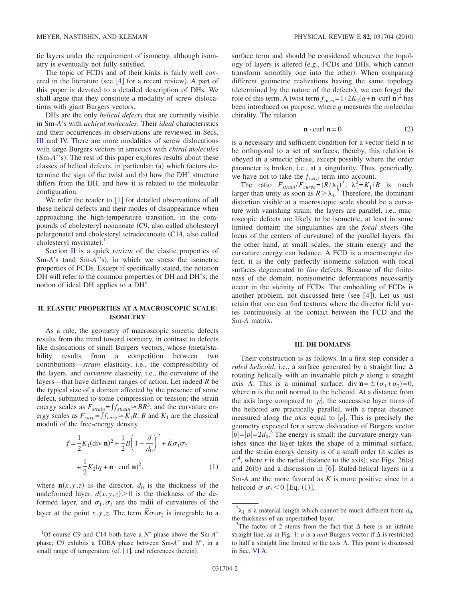tic layers under the requirement of isometry, although isometry is eventually not fully satisfied.

The topic of FCDs and of their kinks is fairly well covered in the literature (see  $[4]$  for a recent review). A part of this paper is devoted to a detailed description of DHs. We shall argue that they constitute a modality of screw dislocations with giant Burgers vectors.

DHs are the only *helical defects* that are currently visible in Sm-*A*'s with *achiral molecules*. Their *ideal* characteristics and their occurrences in observations are reviewed in Secs. III and IV. There are more modalities of screw dislocations with large Burgers vectors in smectics with *chiral molecules* (Sm-A<sup>\*</sup>'s). The rest of this paper explores results about these classes of helical defects, in particular: (a) which factors determine the sign of the twist and  $(b)$  how the DH<sup>\*</sup> structure differs from the DH, and how it is related to the molecular configuration.

We refer the reader to  $\begin{bmatrix} 1 \end{bmatrix}$  for detailed observations of all these helical defects and their modes of disappearance when approaching the high-temperature transition, in the compounds of cholesteryl nonanoate C9, also called cholesteryl pelargonate) and cholesteryl tetradecanoate (C14, also called cholesteryl myristate). $<sup>1</sup>$ </sup>

Section II is a quick review of the elastic properties of Sm-A's (and Sm-A<sup>\*</sup>'s), in which we stress the isometric properties of FCDs. Except if specifically stated, the notation DH will refer to the common properties of DH and DH<sup>\*</sup>s; the notion of ideal DH applies to a DH .

#### **II. ELASTIC PROPERTIES AT A MACROSCOPIC SCALE: ISOMETRY**

As a rule, the geometry of macroscopic smectic defects results from the trend toward isometry, in contrast to defects like dislocations of small Burgers vectors, whose (meta)stability results from a competition between two contributions—*strain* elasticity, i.e., the compressibility of the layers, and *curvature* elasticity, i.e., the curvature of the layers—that have different ranges of action. Let indeed *R* be the typical size of a domain affected by the presence of some defect, submitted to some compression or tension: the strain energy scales as  $F_{strain} = f_{strain} \approx BR^3$ , and the curvature energy scales as  $F_{curv} = f_{curv} \approx K_1 R$ . *B* and  $K_1$  are the classical moduli of the free-energy density

$$
f = \frac{1}{2} K_1 (\text{div } \mathbf{n})^2 + \frac{1}{2} B \left( 1 - \frac{d}{d_0} \right)^2 + \overline{K} \sigma_1 \sigma_2
$$
  
+ 
$$
\frac{1}{2} K_2 (q + \mathbf{n} \cdot \text{curl } \mathbf{n})^2,
$$
 (1)

where  $\mathbf{n}(x, y, z)$  is the director,  $d_0$  is the thickness of the undeformed layer,  $d(x, y, z) > 0$  is the thickness of the deformed layer, and  $\sigma_1, \sigma_2$  are the radii of curvatures of the layer at the point *x*, *y*, *z*. The term  $\overline{K}\sigma_1\sigma_2$  is integrable to a surface term and should be considered whenever the topology of layers is altered (e.g., FCDs and DHs, which cannot transform smoothly one into the other). When comparing different geometric realizations having the same topology (determined by the nature of the defects), we can forget the role of this term. A twist term  $f_{twist} = 1/2K_2(q + \mathbf{n} \cdot \text{curl } \mathbf{n})^2$  has been introduced on purpose, where *q* measures the molecular chirality. The relation

$$
\mathbf{n} \cdot \text{curl } \mathbf{n} = 0 \tag{2}
$$

is a necessary and sufficient condition for a vector field **n** to be orthogonal to a set of surfaces; thereby, this relation is obeyed in a smectic phase, except possibly where the order parameter is broken, i.e., at a singularity. Thus, generically, we have not to take the  $f_{twist}$  term into account.

The ratio  $F_{strain}/F_{curve} = (R/\lambda_1)^2$ ,  $\lambda_1^2 = K_1/B$  is much larger than unity as soon as  $R > \lambda_1$ .<sup>2</sup> Therefore, the dominant distortion visible at a macroscopic scale should be a curvature with vanishing strain: the layers are parallel, i.e., macroscopic defects are likely to be isometric, at least in some limited domain; the singularities are the *focal sheets* (the locus of the centers of curvature) of the parallel layers. On the other hand, at small scales, the strain energy and the curvature energy can balance. A FCD is a macroscopic defect; it is the only perfectly isometric solution with focal surfaces degenerated to *line* defects. Because of the finiteness of the domain, nonisometric deformations necessarily occur in the vicinity of FCDs. The embedding of FCDs is another problem, not discussed here (see  $[4]$ ). Let us just retain that one can find textures where the director field varies continuously at the contact between the FCD and the Sm-*A* matrix.

#### **III. DH DOMAINS**

Their construction is as follows. In a first step consider a *ruled helicoid*, i.e., a surface generated by a straight line  $\Delta$ rotating helically with an invariable pitch *p* along a straight axis  $\Lambda$ . This is a minimal surface: div  $\mathbf{n} = \pm (\sigma_1 + \sigma_2) = 0$ , where **n** is the unit normal to the helicoid. At a distance from the axis large compared to  $|p|$ , the successive layer turns of the helicoid are practically parallel, with a repeat distance measured along the axis equal to  $|p|$ . This is precisely the geometry expected for a screw dislocation of Burgers vector  $\vert b \vert = \vert p \vert = 2d_0$ <sup>3</sup>. The energy is small: the curvature energy vanishes since the layer takes the shape of a minimal surface, and the strain energy density is of a small order (it scales as  $r^{-4}$ , where *r* is the radial distance to the axis); see Figs. 26(a) and  $26(b)$  and a discussion in [6]. Ruled-helical layers in a Sm-*A* are the more favored as  $\overline{K}$  is more positive since in a helicoid  $\sigma_1 \sigma_2 < 0$  [Eq. (1)].

<sup>&</sup>lt;sup>1</sup>Of course C9 and C14 both have a  $N^*$  phase above the Sm- $A^*$ phase; C9 exhibits a TGBA phase between  $Sm-A^*$  and  $N^*$ , in a small range of temperature (cf.  $[1]$ , and references therein).

 $^{2}$  $\lambda_{1}$  is a material length which cannot be much different from  $d_{0}$ , the thickness of an unperturbed layer.

<sup>&</sup>lt;sup>3</sup>The factor of 2 stems from the fact that  $\Delta$  here is an infinite straight line, as in Fig. 1; *p* is a *unit* Burgers vector if  $\Delta$  is restricted to half a straight line limited to the axis  $\Lambda$ . This point is discussed in Sec. VI A.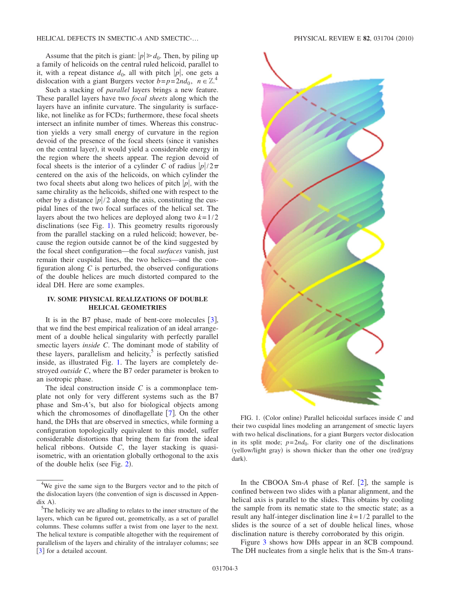Assume that the pitch is giant:  $|p| \ge d_0$ . Then, by piling up a family of helicoids on the central ruled helicoid, parallel to it, with a repeat distance  $d_0$ , all with pitch  $|p|$ , one gets a dislocation with a giant Burgers vector  $b=p=2nd_0$ ,  $n \in \mathbb{Z}^4$ .

Such a stacking of *parallel* layers brings a new feature. These parallel layers have two *focal sheets* along which the layers have an infinite curvature. The singularity is surfacelike, not linelike as for FCDs; furthermore, these focal sheets intersect an infinite number of times. Whereas this construction yields a very small energy of curvature in the region devoid of the presence of the focal sheets (since it vanishes on the central layer), it would yield a considerable energy in the region where the sheets appear. The region devoid of focal sheets is the interior of a cylinder *C* of radius  $|p|/2\pi$ centered on the axis of the helicoids, on which cylinder the two focal sheets abut along two helices of pitch  $|p|$ , with the same chirality as the helicoids, shifted one with respect to the other by a distance  $\frac{p}{2}$  along the axis, constituting the cuspidal lines of the two focal surfaces of the helical set. The layers about the two helices are deployed along two  $k=1/2$ disclinations (see Fig. 1). This geometry results rigorously from the parallel stacking on a ruled helicoid; however, because the region outside cannot be of the kind suggested by the focal sheet configuration—the focal *surfaces* vanish, just remain their cuspidal lines, the two helices—and the configuration along *C* is perturbed, the observed configurations of the double helices are much distorted compared to the ideal DH. Here are some examples.

#### **IV. SOME PHYSICAL REALIZATIONS OF DOUBLE HELICAL GEOMETRIES**

It is in the B7 phase, made of bent-core molecules  $\lceil 3 \rceil$ , that we find the best empirical realization of an ideal arrangement of a double helical singularity with perfectly parallel smectic layers *inside C*. The dominant mode of stability of these layers, parallelism and helicity, $5$  is perfectly satisfied inside, as illustrated Fig. 1. The layers are completely destroyed *outside C*, where the B7 order parameter is broken to an isotropic phase.

The ideal construction inside *C* is a commonplace template not only for very different systems such as the B7 phase and Sm-*A*'s, but also for biological objects among which the chromosomes of dinoflagellate  $[7]$ . On the other hand, the DHs that are observed in smectics, while forming a configuration topologically equivalent to this model, suffer considerable distortions that bring them far from the ideal helical ribbons. Outside *C*, the layer stacking is quasiisometric, with an orientation globally orthogonal to the axis of the double helix (see Fig.  $2$ ).



FIG. 1. (Color online) Parallel helicoidal surfaces inside C and their two cuspidal lines modeling an arrangement of smectic layers with two helical disclinations, for a giant Burgers vector dislocation in its split mode;  $p=2nd_0$ . For clarity one of the disclinations (yellow/light gray) is shown thicker than the other one (red/gray dark).

In the CBOOA Sm- $\overline{A}$  phase of Ref. [2], the sample is confined between two slides with a planar alignment, and the helical axis is parallel to the slides. This obtains by cooling the sample from its nematic state to the smectic state; as a result any half-integer disclination line *k*=1/2 parallel to the slides is the source of a set of double helical lines, whose disclination nature is thereby corroborated by this origin.

Figure 3 shows how DHs appear in an 8CB compound. The DH nucleates from a single helix that is the Sm-*A* trans-

<sup>&</sup>lt;sup>4</sup>We give the same sign to the Burgers vector and to the pitch of the dislocation layers (the convention of sign is discussed in Appen- $\frac{\text{dix A}}{5\text{The}}$ 

<sup>&</sup>lt;sup>5</sup>The helicity we are alluding to relates to the inner structure of the layers, which can be figured out, geometrically, as a set of parallel columns. These columns suffer a twist from one layer to the next. The helical texture is compatible altogether with the requirement of parallelism of the layers and chirality of the intralayer columns; see [3] for a detailed account.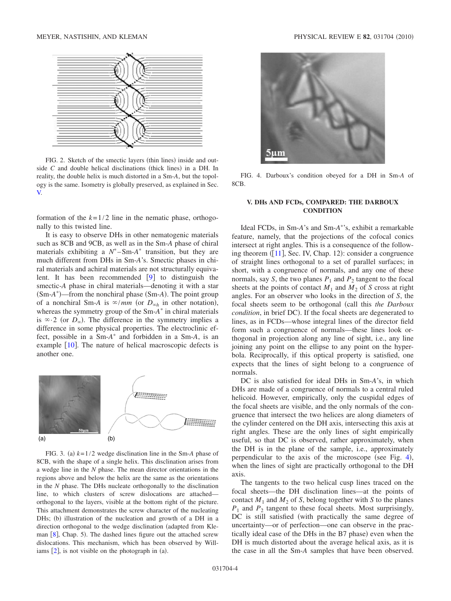

FIG. 2. Sketch of the smectic layers (thin lines) inside and outside  $C$  and double helical disclinations (thick lines) in a DH. In reality, the double helix is much distorted in a Sm-*A*, but the topology is the same. Isometry is globally preserved, as explained in Sec. V.

formation of the  $k=1/2$  line in the nematic phase, orthogonally to this twisted line.

It is easy to observe DHs in other nematogenic materials such as 8CB and 9CB, as well as in the Sm-*A* phase of chiral materials exhibiting a  $N^*$ –Sm- $A^*$  transition, but they are much different from DHs in Sm-*A*'s. Smectic phases in chiral materials and achiral materials are not structurally equivalent. It has been recommended  $[9]$  to distinguish the smectic-*A* phase in chiral materials—denoting it with a star (Sm-*A*<sup>\*</sup>)—from the nonchiral phase (Sm-*A*). The point group of a nonchiral Sm-*A* is  $\infty/mm$  (or  $D_{\infty h}$  in other notation), whereas the symmetry group of the Sm-A<sup>\*</sup> in chiral materials is  $\infty$  2 (or  $D_{\infty}$ ). The difference in the symmetry implies a difference in some physical properties. The electroclinic effect, possible in a Sm-A<sup>\*</sup> and forbidden in a Sm-A, is an example  $[10]$ . The nature of helical macroscopic defects is another one.



FIG. 3. (a)  $k=1/2$  wedge disclination line in the Sm-A phase of 8CB, with the shape of a single helix. This disclination arises from a wedge line in the *N* phase. The mean director orientations in the regions above and below the helix are the same as the orientations in the *N* phase. The DHs nucleate orthogonally to the disclination line, to which clusters of screw dislocations are attached orthogonal to the layers, visible at the bottom right of the picture. This attachment demonstrates the screw character of the nucleating DHs; (b) illustration of the nucleation and growth of a DH in a direction orthogonal to the wedge disclination (adapted from Kleman [8], Chap. 5). The dashed lines figure out the attached screw dislocations. This mechanism, which has been observed by Williams  $[2]$ , is not visible on the photograph in  $(a)$ .



FIG. 4. Darboux's condition obeyed for a DH in Sm-*A* of 8CB.

## **V. DHs AND FCDs, COMPARED: THE DARBOUX CONDITION**

Ideal FCDs, in Sm-*A*'s and Sm-*A* 's, exhibit a remarkable feature, namely, that the projections of the cofocal conics intersect at right angles. This is a consequence of the following theorem  $(11]$ , Sec. IV, Chap. 12): consider a congruence of straight lines orthogonal to a set of parallel surfaces; in short, with a congruence of normals, and any one of these normals, say *S*, the two planes  $P_1$  and  $P_2$  tangent to the focal sheets at the points of contact  $M_1$  and  $M_2$  of *S* cross at right angles. For an observer who looks in the direction of *S*, the focal sheets seem to be orthogonal call this *the Darboux* condition, in brief DC). If the focal sheets are degenerated to lines, as in FCDs—whose integral lines of the director field form such a congruence of normals—these lines look orthogonal in projection along any line of sight, i.e., any line joining any point on the ellipse to any point on the hyperbola. Reciprocally, if this optical property is satisfied, one expects that the lines of sight belong to a congruence of normals.

DC is also satisfied for ideal DHs in Sm-*A*'s, in which DHs are made of a congruence of normals to a central ruled helicoid. However, empirically, only the cuspidal edges of the focal sheets are visible, and the only normals of the congruence that intersect the two helices are along diameters of the cylinder centered on the DH axis, intersecting this axis at right angles. These are the only lines of sight empirically useful, so that DC is observed, rather approximately, when the DH is in the plane of the sample, i.e., approximately perpendicular to the axis of the microscope (see Fig. 4), when the lines of sight are practically orthogonal to the DH axis.

The tangents to the two helical cusp lines traced on the focal sheets—the DH disclination lines—at the points of contact  $M_1$  and  $M_2$  of *S*, belong together with *S* to the planes  $P_1$  and  $P_2$  tangent to these focal sheets. Most surprisingly, DC is still satisfied (with practically the same degree of uncertainty—or of perfection—one can observe in the practically ideal case of the DHs in the B7 phase) even when the DH is much distorted about the average helical axis, as it is the case in all the Sm-*A* samples that have been observed.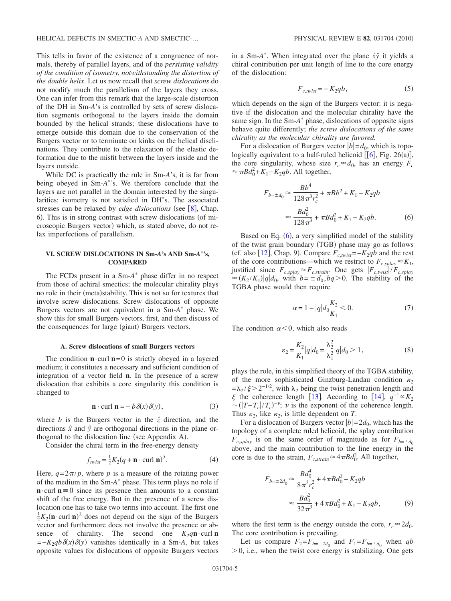This tells in favor of the existence of a congruence of normals, thereby of parallel layers, and of the *persisting validity of the condition of isometry, notwithstanding the distortion of the double helix*. Let us now recall that *screw dislocations* do not modify much the parallelism of the layers they cross. One can infer from this remark that the large-scale distortion of the DH in Sm-*A*'s is controlled by sets of screw dislocation segments orthogonal to the layers inside the domain bounded by the helical strands; these dislocations have to emerge outside this domain due to the conservation of the Burgers vector or to terminate on kinks on the helical disclinations. They contribute to the relaxation of the elastic deformation due to the misfit between the layers inside and the layers outside.

While DC is practically the rule in Sm-*A*'s, it is far from being obeyed in Sm-*A* 's. We therefore conclude that the layers are not parallel in the domain interested by the singularities: isometry is not satisfied in DH<sup>\*</sup>s. The associated stresses can be relaxed by *edge dislocations* (see [8], Chap. 6). This is in strong contrast with screw dislocations (of microscopic Burgers vector) which, as stated above, do not relax imperfections of parallelism.

## **VI. SCREW DISLOCATIONS IN Sm-***A***'s AND Sm-***A***'s, COMPARED**

The FCDs present in a Sm-A<sup>\*</sup> phase differ in no respect from those of achiral smectics; the molecular chirality plays no role in their (meta)stability. This is not so for textures that involve screw dislocations. Screw dislocations of opposite Burgers vectors are not equivalent in a Sm-A<sup>\*</sup> phase. We show this for small Burgers vectors, first, and then discuss of the consequences for large (giant) Burgers vectors.

#### **A. Screw dislocations of small Burgers vectors**

The condition  $\mathbf{n} \cdot \text{curl} \mathbf{n} = 0$  is strictly obeyed in a layered medium; it constitutes a necessary and sufficient condition of integration of a vector field **n**. In the presence of a screw dislocation that exhibits a core singularity this condition is changed to

$$
\mathbf{n} \cdot \text{curl } \mathbf{n} = -b \, \delta(x) \, \delta(y),\tag{3}
$$

where *b* is the Burgers vector in the  $\hat{z}$  direction, and the directions  $\hat{x}$  and  $\hat{y}$  are orthogonal directions in the plane orthogonal to the dislocation line (see Appendix A).

Consider the chiral term in the free-energy density

$$
f_{twist} = \frac{1}{2}K_2(q + \mathbf{n} \cdot \text{curl } \mathbf{n})^2.
$$
 (4)

Here,  $q=2\pi/p$ , where p is a measure of the rotating power of the medium in the Sm-A<sup>\*</sup> phase. This term plays no role if  $\mathbf{n} \cdot \text{curl } \mathbf{n} = 0$  since its presence then amounts to a constant shift of the free energy. But in the presence of a screw dislocation one has to take two terms into account. The first one  $\frac{1}{2}K_2(\mathbf{n} \cdot \text{curl } \mathbf{n})^2$  does not depend on the sign of the Burgers vector and furthermore does not involve the presence or absence of chirality. The second one  $K_2q$ **n**·curl **n**  $=-K_2qb\delta(x)\delta(y)$  vanishes identically in a Sm-*A*, but takes opposite values for dislocations of opposite Burgers vectors

in a Sm-*A* . When integrated over the plane *xˆyˆ* it yields a chiral contribution per unit length of line to the core energy of the dislocation:

$$
F_{c,twist} = -K_2 qb,
$$
\n<sup>(5)</sup>

which depends on the sign of the Burgers vector: it is negative if the dislocation and the molecular chirality have the same sign. In the Sm-A<sup>\*</sup> phase, dislocations of opposite signs behave quite differently; *the screw dislocations of the same chirality as the molecular chirality are favored.*

For a dislocation of Burgers vector  $|b|=d_0$ , which is topologically equivalent to a half-ruled helicoid  $[[6], Fig. 26(a)],$ the core singularity, whose size  $r_c \approx d_0$ , has an energy  $F_c$  $\approx \pi B d_0^2 + K_1 - K_2 q b$ . All together,

$$
F_{b=\pm d_0} \approx \frac{Bb^4}{128\pi^3 r_c^2} + \pi Bb^2 + K_1 - K_2qb
$$

$$
\approx \frac{Bd_0^2}{128\pi^3} + \pi Bd_0^2 + K_1 - K_2qb. \tag{6}
$$

Based on Eq.  $(6)$ , a very simplified model of the stability of the twist grain boundary (TGB) phase may go as follows (cf. also [12], Chap. 9). Compare  $F_{c, twist} = -K_2qb$  and the rest of the core contributions—which we restrict to  $F_{c,splav} \approx K_1$ , justified since  $F_{c, splay} \approx F_{c, strain}$ . One gets  $|F_{c, twist}|/F_{c, splay}$  $\approx (K_2/K_1)|q|d_0$ , with  $b = \pm d_0, bq > 0$ . The stability of the TGBA phase would then require

$$
\alpha = 1 - |q| d_0 \frac{K_2}{K_1} < 0. \tag{7}
$$

The condition  $\alpha < 0$ , which also reads

$$
\varepsilon_2 = \frac{K_2}{K_1} |q| d_0 = \frac{\lambda_2^2}{\lambda_1^2} |q| d_0 > 1, \qquad (8)
$$

plays the role, in this simplified theory of the TGBA stability, of the more sophisticated Ginzburg-Landau condition  $\kappa_2$  $=\lambda_2/\xi$  > 2<sup>-1/2</sup>, with  $\lambda_2$  being the twist penetration length and *ξ* the coherence length [13]. According to [14],  $q^{-1} \propto K_2$  $\sim$  (|T-T<sub>c</sub>|/T<sub>c</sub>)<sup>-v</sup>; v is the exponent of the coherence length. Thus  $\varepsilon_2$ , like  $\kappa_2$ , is little dependent on *T*.

For a dislocation of Burgers vector  $|b|=2d_0$ , which has the topology of a complete ruled helicoid, the splay contribution  $F_{c,splay}$  is on the same order of magnitude as for  $F_{b=\pm d_0}$ above, and the main contribution to the line energy in the core is due to the strain,  $F_{c,strain} \approx 4 \pi B d_0^2$ . All together,

$$
F_{b=\pm 2d_0} \approx \frac{Bd_0^4}{8\pi^3 r_c^2} + 4\pi Bd_0^2 - K_2qb
$$

$$
\approx \frac{Bd_0^2}{32\pi^3} + 4\pi Bd_0^2 + K_1 - K_2qb, \tag{9}
$$

where the first term is the energy outside the core,  $r_c \approx 2d_0$ . The core contribution is prevailing.

Let us compare  $F_2 = F_{b=\pm 2d_0}$  and  $F_1 = F_{b=\pm d_0}$  when *qb*  $>$ 0, i.e., when the twist core energy is stabilizing. One gets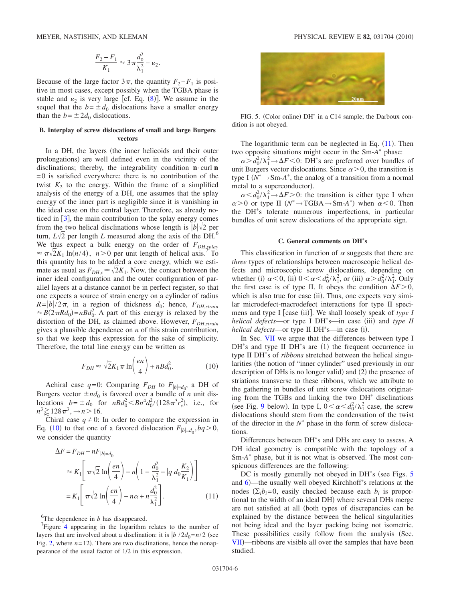$$
\frac{F_2 - F_1}{K_1} \approx 3\pi \frac{d_0^2}{\lambda_1^2} - \varepsilon_2.
$$

Because of the large factor  $3\pi$ , the quantity  $F_2-F_1$  is positive in most cases, except possibly when the TGBA phase is stable and  $\varepsilon_2$  is very large [cf. Eq. (8)]. We assume in the sequel that the  $b = \pm d_0$  dislocations have a smaller energy than the  $b = \pm 2d_0$  dislocations.

#### **B. Interplay of screw dislocations of small and large Burgers vectors**

In a DH, the layers (the inner helicoids and their outer prolongations) are well defined even in the vicinity of the disclinations; thereby, the integrability condition **n**·curl **n**  $=0$  is satisfied everywhere: there is no contribution of the twist  $K_2$  to the energy. Within the frame of a simplified analysis of the energy of a DH, one assumes that the splay energy of the inner part is negligible since it is vanishing in the ideal case on the central layer. Therefore, as already noticed in  $\lceil 3 \rceil$ , the main contribution to the splay energy comes from the two helical disclinations whose length is  $|b|\sqrt{2}$  per turn,  $L\sqrt{2}$  per length *L* measured along the axis of the DH.<sup>6</sup> We thus expect a bulk energy on the order of  $F_{DH, splay}$  $\approx \pi \sqrt{2} K_1 \ln(n/4)$ ,  $n > 0$  per unit length of helical axis.<sup>7</sup> To this quantity has to be added a core energy, which we estimate as usual as  $F_{DHC} \approx \sqrt{2}K_1$ . Now, the contact between the inner ideal configuration and the outer configuration of parallel layers at a distance cannot be in perfect register, so that one expects a source of strain energy on a cylinder of radius  $R = \frac{b}{2\pi}$ , in a region of thickness  $d_0$ ; hence,  $F_{DH,strain}$  $\approx B(2\pi R d_0) = nB d_0^2$ . A part of this energy is relaxed by the distortion of the DH, as claimed above. However,  $F_{DH,strain}$ gives a plausible dependence on *n* of this strain contribution, so that we keep this expression for the sake of simplicity. Therefore, the total line energy can be written as

$$
F_{DH} \approx \sqrt{2}K_1 \pi \ln\left(\frac{en}{4}\right) + nBd_0^2.
$$
 (10)

Achiral case  $q=0$ : Comparing  $F_{DH}$  to  $F_{|b|=d_0}$ , a DH of Burgers vector  $\pm nd_0$  is favored over a bundle of *n* unit dislocations  $b = \pm d_0$  for  $nBd_0^2 < Bn^4d_0^2/(128\pi^3r_c^2)$ , i.e., for  $n^3 \ge 128\pi^3, \rightarrow n > 16.$ 

Chiral case  $q \neq 0$ : In order to compare the expression in Eq. (10) to that one of a favored dislocation  $F_{|b|=d_0}, bq>0$ , we consider the quantity

$$
\Delta F = F_{DH} - nF_{|b|=d_0}
$$
  
\n
$$
\approx K_1 \left[ \pi \sqrt{2} \ln \left( \frac{en}{4} \right) - n \left( 1 - \frac{d_0^2}{\lambda_1^2} - |q| d_0 \frac{K_2}{K_1} \right) \right]
$$
  
\n
$$
= K_1 \left[ \pi \sqrt{2} \ln \left( \frac{en}{4} \right) - n\alpha + n \frac{d_0^2}{\lambda_1^2} \right].
$$
 (11)

<sup>6</sup>The dependence in *b* has disappeared.



FIG. 5. (Color online) DH<sup>\*</sup> in a C14 sample; the Darboux condition is not obeyed.

The logarithmic term can be neglected in Eq.  $(11)$ . Then two opposite situations might occur in the Sm-A<sup>\*</sup> phase:

 $\alpha > d_0^2 / \lambda_1^2 \rightarrow \Delta F < 0$ : DH<sup>\*</sup>s are preferred over bundles of unit Burgers vector dislocations. Since  $\alpha > 0$ , the transition is type I  $(N^* \rightarrow Sm-A^*$ , the analog of a transition from a normal metal to a superconductor).

 $\alpha < d_0^2 / \lambda_1^2 \rightarrow \Delta F > 0$ : the transition is either type I when  $\alpha > 0$  or type II  $(N^* \rightarrow TGBA \rightarrow Sm-A^*)$  when  $\alpha < 0$ . Then the DH s tolerate numerous imperfections, in particular bundles of unit screw dislocations of the appropriate sign.

#### **C. General comments on DHs**

This classification in function of  $\alpha$  suggests that there are *three* types of relationships between macroscopic helical defects and microscopic screw dislocations, depending on whether (i)  $\alpha < 0$ , (ii)  $0 < \alpha < d_0^2 / \lambda_1^2$ , or (iii)  $\alpha > d_0^2 / \lambda_1^2$ . Only the first case is of type II. It obeys the condition  $\Delta F > 0$ , which is also true for case (ii). Thus, one expects very similar microdefect-macrodefect interactions for type II specimens and type I [case (ii)]. We shall loosely speak of *type I* helical defects-or type I DH<sup>\*</sup>s-in case (iii) and type II helical defects-or type II DH<sup>\*</sup>s-in case (i).

In Sec. VII we argue that the differences between type I  $DH^*s$  and type II  $DH^*s$  are (1) the frequent occurrence in type II DH s of *ribbons* stretched between the helical singularities (the notion of "inner cylinder" used previously in our description of DHs is no longer valid) and (2) the presence of striations transverse to these ribbons, which we attribute to the gathering in bundles of unit screw dislocations originating from the TGBs and linking the two  $DH^*$  disclinations (see Fig. 9 below). In type I,  $0 < \alpha < d_0^2 / \lambda_1^2$  case, the screw dislocations should stem from the condensation of the twist of the director in the  $N^*$  phase in the form of screw dislocations.

Differences between DH s and DHs are easy to assess. A DH ideal geometry is compatible with the topology of a Sm- $A^*$  phase, but it is not what is observed. The most conspicuous differences are the following:

DC is mostly generally not obeyed in DH<sup>\*</sup>s (see Figs. 5 and 6)—the usually well obeyed Kirchhoff's relations at the nodes  $(\sum_i b_i = 0$ , easily checked because each  $b_i$  is proportional to the width of an ideal DH) where several DHs merge are not satisfied at all (both types of discrepancies can be explained by the distance between the helical singularities not being ideal and the layer packing being not isometric. These possibilities easily follow from the analysis (Sec. VII)—ribbons are visible all over the samples that have been studied.

Figure 4 appearing in the logarithm relates to the number of layers that are involved about a disclination: it is  $\frac{|b|}{2d_0=n/2}$  (see Fig. 2, where  $n=12$ ). There are two disclinations, hence the nonappearance of the usual factor of 1/2 in this expression.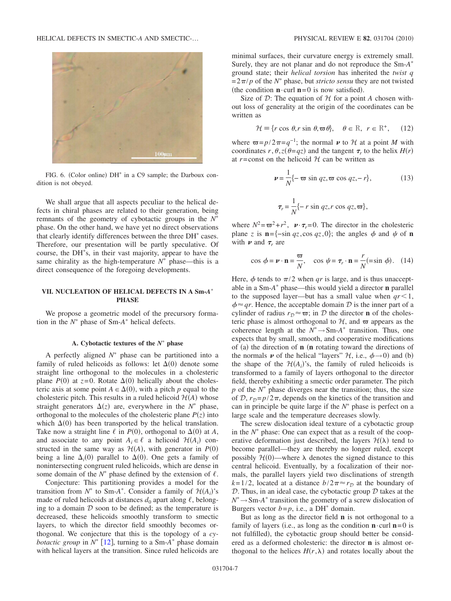

FIG. 6. (Color online) DH<sup>\*</sup> in a C9 sample; the Darboux condition is not obeyed.

We shall argue that all aspects peculiar to the helical defects in chiral phases are related to their generation, being remnants of the geometry of cybotactic groups in the  $N^*$ phase. On the other hand, we have yet no direct observations that clearly identify differences between the three DH<sup>\*</sup> cases. Therefore, our presentation will be partly speculative. Of course, the DH s, in their vast majority, appear to have the same chirality as the high-temperature  $N^*$  phase—this is a direct consequence of the foregoing developments.

## **VII. NUCLEATION OF HELICAL DEFECTS IN A Sm-***A* **PHASE**

We propose a geometric model of the precursory formation in the  $N^*$  phase of Sm- $A^*$  helical defects.

#### A. Cybotactic textures of the  $N^*$  phase

A perfectly aligned  $N^*$  phase can be partitioned into a family of ruled helicoids as follows: let  $\Delta(0)$  denote some straight line orthogonal to the molecules in a cholesteric plane  $P(0)$  at  $z=0$ . Rotate  $\Delta(0)$  helically about the cholesteric axis at some point  $A \in \Delta(0)$ , with a pitch *p* equal to the cholesteric pitch. This results in a ruled helicoid  $H(A)$  whose straight generators  $\Delta(z)$  are, everywhere in the  $N^*$  phase, orthogonal to the molecules of the cholesteric plane  $P(z)$  into which  $\Delta(0)$  has been transported by the helical translation. Take now a straight line  $\ell$  in *P*(0), orthogonal to  $\Delta$ (0) at *A*, and associate to any point  $A_i \in \ell$  a helicoid  $\mathcal{H}(A_i)$  constructed in the same way as  $\mathcal{H}(A)$ , with generator in  $P(0)$ being a line  $\Delta_i(0)$  parallel to  $\Delta(0)$ . One gets a family of nonintersecting congruent ruled helicoids, which are dense in some domain of the  $N^*$  phase defined by the extension of  $\ell$ .

Conjecture: This partitioning provides a model for the transition from  $N^*$  to Sm-*A*<sup>\*</sup>. Consider a family of  $\mathcal{H}(A_i)$ 's made of ruled helicoids at distances  $d_0$  apart along  $\ell$ , belonging to a domain  $D$  soon to be defined; as the temperature is decreased, these helicoids smoothly transform to smectic layers, to which the director field smoothly becomes orthogonal. We conjecture that this is the topology of a *cybotactic group* in  $N^{\ast}$  [12], turning to a Sm- $A^{\ast}$  phase domain with helical layers at the transition. Since ruled helicoids are minimal surfaces, their curvature energy is extremely small. Surely, they are not planar and do not reproduce the Sm-*A* ground state; their *helical torsion* has inherited the *twist q*  $=2\pi/p$  of the *N*<sup>\*</sup> phase, but *stricto sensu* they are not twisted (the condition  $\mathbf{n} \cdot \text{curl } \mathbf{n} = 0$  is now satisfied).

Size of  $D$ : The equation of  $H$  for a point A chosen without loss of generality at the origin of the coordinates can be written as

$$
\mathcal{H} \equiv \{r \cos \theta, r \sin \theta, \varpi \theta\}, \quad \theta \in \mathbb{R}, \ r \in \mathbb{R}^+, \tag{12}
$$

where  $\varpi = p/2\pi = q^{-1}$ ; the normal  $\nu$  to  $\mathcal H$  at a point *M* with coordinates  $r, \theta, z(\theta = qz)$  and the tangent  $\tau_r$  to the helix  $H(r)$ at  $r = const$  on the helicoid  $H$  can be written as

$$
\mathbf{v} = \frac{1}{N} \{-\boldsymbol{\varpi} \sin qz, \boldsymbol{\varpi} \cos qz, -r\},\qquad(13)
$$

$$
\boldsymbol{\tau}_r = \frac{1}{N} \{-r \sin qz, r \cos qz, \boldsymbol{\varpi}\},\qquad(14)
$$

where  $N^2 = \omega^2 + r^2$ ,  $v \cdot \tau_r = 0$ . The director in the cholesteric plane *z* is  $\mathbf{n} = \{-\sin qz, \cos qz, 0\}$ ; the angles  $\phi$  and  $\psi$  of  $\mathbf{n}$ with  $\nu$  and  $\tau_r$  are

$$
\cos \phi = \mathbf{v} \cdot \mathbf{n} = \frac{\varpi}{N}, \quad \cos \psi = \tau_r \cdot \mathbf{n} = \frac{r}{N} (\sin \phi). \quad (14)
$$

Here,  $\phi$  tends to  $\pi/2$  when *qr* is large, and is thus unacceptable in a Sm-A<sup>\*</sup> phase—this would yield a director **n** parallel to the supposed layer—but has a small value when  $q r < 1$ ,  $\phi \approx qr$ . Hence, the acceptable domain D is the inner part of a cylinder of radius  $r_{\mathcal{D}} \approx \varpi$ ; in D the director **n** of the cholesteric phase is almost orthogonal to  $H$ , and  $\varpi$  appears as the coherence length at the  $N^* \rightarrow$ Sm- $A^*$  transition. Thus, one expects that by small, smooth, and cooperative modifications of (a) the direction of **n** (**n** rotating toward the directions of the normals  $\boldsymbol{\nu}$  of the helical "layers"  $\mathcal{H}$ , i.e.,  $\phi \rightarrow 0$  and (b) the shape of the  $H(A_i)$ 's, the family of ruled helicoids is transformed to a family of layers orthogonal to the director field, thereby exhibiting a smectic order parameter. The pitch  $p$  of the  $N^*$  phase diverges near the transition; thus, the size of  $\mathcal{D}$ ,  $r_{\mathcal{D}}=p/2\pi$ , depends on the kinetics of the transition and can in principle be quite large if the  $N^*$  phase is perfect on a large scale and the temperature decreases slowly.

The screw dislocation ideal texture of a cybotactic group in the  $N^*$  phase: One can expect that as a result of the cooperative deformation just described, the layers  $\mathcal{H}(\lambda)$  tend to become parallel—they are thereby no longer ruled, except possibly  $H(0)$ —where  $\lambda$  denotes the signed distance to this central helicoid. Eventually, by a focalization of their normals, the parallel layers yield two disclinations of strength  $k=1/2$ , located at a distance  $b/2\pi \approx r_D$  at the boundary of  $D$ . Thus, in an ideal case, the cybotactic group  $D$  takes at the  $N^* \rightarrow$ Sm-*A*<sup>\*</sup> transition the geometry of a screw dislocation of Burgers vector  $b = p$ , i.e., a DH<sup>\*</sup> domain.

But as long as the director field **n** is not orthogonal to a family of layers (i.e., as long as the condition  $\mathbf{n} \cdot \text{curl } \mathbf{n} = 0$  is not fulfilled), the cybotactic group should better be considered as a deformed cholesteric: the director **n** is almost orthogonal to the helices  $H(r, \lambda)$  and rotates locally about the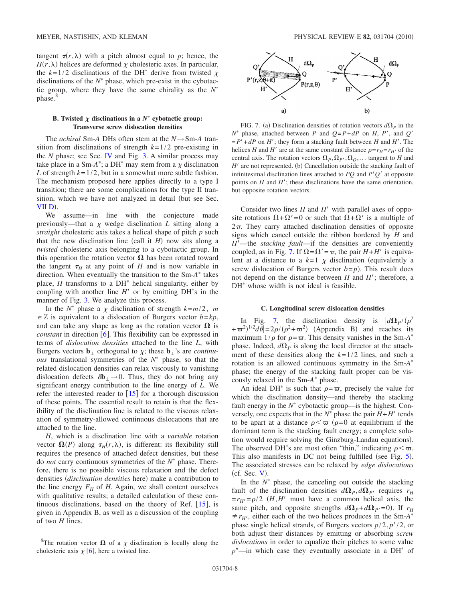tangent  $\tau(r,\lambda)$  with a pitch almost equal to *p*; hence, the  $H(r, \lambda)$  helices are deformed  $\chi$  cholesteric axes. In particular, the  $k=1/2$  disclinations of the DH<sup>\*</sup> derive from twisted  $\chi$ disclinations of the  $N^*$  phase, which pre-exist in the cybotactic group, where they have the same chirality as the  $N^*$ phase.<sup>8</sup>

#### **B.** Twisted  $\chi$  disclinations in a  $N^*$  cybotactic group: **Transverse screw dislocation densities**

The *achiral* Sm-*A* DHs often stem at the *N*→Sm-*A* transition from disclinations of strength *k*=1/2 pre-existing in the  $N$  phase; see Sec. **IV** and Fig. 3. A similar process may take place in a Sm- $A^*$ ; a DH<sup>\*</sup> may stem from a  $\chi$  disclination *L* of strength  $k=1/2$ , but in a somewhat more subtle fashion. The mechanism proposed here applies directly to a type I transition; there are some complications for the type II transition, which we have not analyzed in detail (but see Sec.  $VII D$ ).

We assume—in line with the conjecture made previously—that a  $\chi$  wedge disclination  $L$  sitting along a *straight* cholesteric axis takes a helical shape of pitch *p* such that the new disclination line (call it  $H$ ) now sits along a *twisted* cholesteric axis belonging to a cybotactic group. In this operation the rotation vector  $\Omega$  has been rotated toward the tangent  $\tau_H$  at any point of *H* and is now variable in direction. When eventually the transition to the Sm-A<sup>\*</sup> takes place,  $H$  transforms to a DH<sup>\*</sup> helical singularity, either by coupling with another line  $H'$  or by emitting  $DH^*s$  in the manner of Fig. 3. We analyze this process.

In the  $N^*$  phase a  $\chi$  disclination of strength  $k=m/2$ , *m*  $\in \mathbb{Z}$  is equivalent to a dislocation of Burgers vector  $b = kp$ , and can take any shape as long as the rotation vector  $\Omega$  is *constant* in direction  $\overline{6}$ . This flexibility can be expressed in terms of *dislocation densities* attached to the line *L*, with Burgers vectors  $\mathbf{b}_{\perp}$  orthogonal to  $\chi$ ; these  $\mathbf{b}_{\perp}$ 's are *continuous* translational symmetries of the  $N^*$  phase, so that the related dislocation densities can relax viscously to vanishing dislocation defects  $\delta \mathbf{b}_{\perp} \rightarrow 0$ . Thus, they do not bring any significant energy contribution to the line energy of *L*. We refer the interested reader to  $\left[15\right]$  for a thorough discussion of these points. The essential result to retain is that the flexibility of the disclination line is related to the viscous relaxation of symmetry-allowed continuous dislocations that are attached to the line.

*H*, which is a disclination line with a *variable* rotation vector  $\Omega(P)$  along  $\tau_H(r,\lambda)$ , is different: its flexibility still requires the presence of attached defect densities, but these do *not* carry continuous symmetries of the  $N^*$  phase. Therefore, there is no possible viscous relaxation and the defect densities (disclination densities here) make a contribution to the line energy  $F_H$  of  $H$ . Again, we shall content ourselves with qualitative results; a detailed calculation of these continuous disclinations, based on the theory of Ref.  $[15]$ , is given in Appendix B, as well as a discussion of the coupling of two *H* lines.



FIG. 7. (a) Disclination densities of rotation vectors  $d\Omega_p$  in the  $N^*$  phase, attached between *P* and  $Q = P + dP$  on *H*, *P'*, and *Q'*  $= P' + dP$  on *H*'; they form a stacking fault between *H* and *H*'. The helices *H* and *H'* are at the same constant distance  $\rho = r_H = r_{H'}$  of the central axis. The rotation vectors  $\Omega_P$ ,  $\Omega_P$ ,  $\Omega_Q$ ,... tangent to *H* and *H'* are not represented. (b) Cancellation outside the stacking fault of infinitesimal disclination lines attached to  $PQ$  and  $P'Q'$  at opposite points on  $H$  and  $H'$ ; these disclinations have the same orientation, but opposite rotation vectors.

Consider two lines  $H$  and  $H'$  with parallel axes of opposite rotations  $\Omega + \Omega' = 0$  or such that  $\Omega + \Omega'$  is a multiple of  $2\pi$ . They carry attached disclination densities of opposite signs which cancel outside the ribbon bordered by *H* and *H*—the *stacking fault*—if the densities are conveniently coupled, as in Fig. 7. If  $\Omega = \Omega' = \pi$ , the pair  $H + H'$  is equivalent at a distance to a  $k=1$   $\chi$  disclination (equivalently a screw dislocation of Burgers vector  $b=p$ ). This result does not depend on the distance between  $H$  and  $H'$ ; therefore, a  $DH^*$  whose width is not ideal is feasible.

#### **C. Longitudinal screw dislocation densities**

In Fig. 7, the disclination density is  $\frac{d\Omega_p}{(\rho^2)}$  $+\varpi^2$ <sup>1/2</sup> $d\theta$  = 2 $\rho$ /( $\rho^2$ + $\varpi^2$ ) (Appendix B) and reaches its maximum  $1/\rho$  for  $\rho = \varpi$ . This density vanishes in the Sm-*A*<sup>\*</sup> phase. Indeed,  $d\Omega_p$  is along the local director at the attachment of these densities along the *k*=1/2 lines, and such a rotation is an allowed continuous symmetry in the Sm-*A* phase; the energy of the stacking fault proper can be viscously relaxed in the Sm-A<sup>\*</sup> phase.

An ideal DH<sup>\*</sup> is such that  $\rho = \varpi$ , precisely the value for which the disclination density—and thereby the stacking fault energy in the  $N^*$  cybotactic group—is the highest. Conversely, one expects that in the  $N^*$  phase the pair  $H + H'$  tends to be apart at a distance  $\rho \leq \varpi$  ( $\rho = 0$  at equilibrium if the dominant term is the stacking fault energy; a complete solution would require solving the Ginzburg-Landau equations). The observed DH<sup>\*</sup>s are most often "thin," indicating  $\rho < \varpi$ . This also manifests in DC not being fulfilled (see Fig. 5). The associated stresses can be relaxed by *edge dislocations*  $(cf. Sec. V).$ 

In the  $N^*$  phase, the canceling out outside the stacking fault of the disclination densities  $d\Omega_p$ ,  $d\Omega_p$  requires  $r_H$  $=r_{H} = \rho/2$  (*H*,*H'* must have a common helical axis, the same pitch, and opposite strengths  $d\Omega_P + d\Omega_P = 0$ . If  $r_H$  $\neq r_{H'}$ , either each of the two helices produces in the Sm-*A*<sup>\*</sup> phase single helical strands, of Burgers vectors  $p/2$ ,  $p'/2$ , or both adjust their distances by emitting or absorbing *screw dislocations* in order to equalize their pitches to some value  $p''$ —in which case they eventually associate in a DH<sup>\*</sup> of

<sup>&</sup>lt;sup>8</sup>The rotation vector  $\Omega$  of a  $\chi$  disclination is locally along the cholesteric axis  $\chi$  [6], here a twisted line.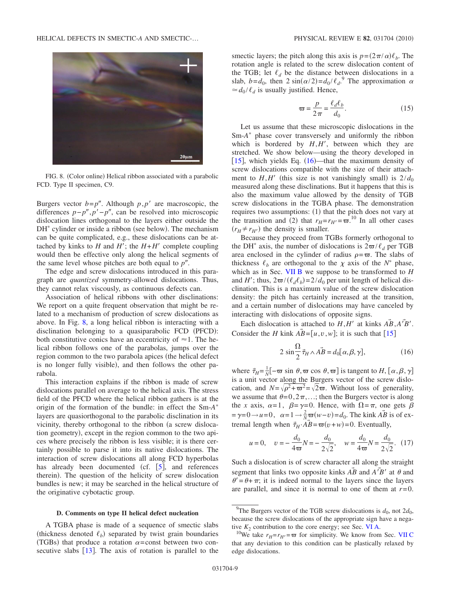

FIG. 8. (Color online) Helical ribbon associated with a parabolic FCD. Type II specimen, C9.

Burgers vector  $b=p''$ . Although  $p, p'$  are macroscopic, the differences  $p-p''$ ,  $p'-p''$ , can be resolved into microscopic dislocation lines orthogonal to the layers either outside the DH<sup>\*</sup> cylinder or inside a ribbon (see below). The mechanism can be quite complicated, e.g., these dislocations can be attached by kinks to *H* and *H'*; the  $H+H'$  complete coupling would then be effective only along the helical segments of the same level whose pitches are both equal to  $p''$ .

The edge and screw dislocations introduced in this paragraph are *quantized* symmetry-allowed dislocations. Thus, they cannot relax viscously, as continuous defects can.

Association of helical ribbons with other disclinations: We report on a quite frequent observation that might be related to a mechanism of production of screw dislocations as above. In Fig. 8, a long helical ribbon is interacting with a disclination belonging to a quasiparabolic FCD (PFCD): both constitutive conics have an eccentricity of  $\approx$  1. The helical ribbon follows one of the parabolas, jumps over the region common to the two parabola apices (the helical defect is no longer fully visible), and then follows the other parabola.

This interaction explains if the ribbon is made of screw dislocations parallel on average to the helical axis. The stress field of the PFCD where the helical ribbon gathers is at the origin of the formation of the bundle: in effect the Sm-*A* layers are quasiorthogonal to the parabolic disclination in its vicinity, thereby orthogonal to the ribbon (a screw dislocation geometry), except in the region common to the two apices where precisely the ribbon is less visible; it is there certainly possible to parse it into its native dislocations. The interaction of screw dislocations all along FCD hyperbolas has already been documented (cf.  $[5]$ , and references therein). The question of the helicity of screw dislocation bundles is new; it may be searched in the helical structure of the originative cybotactic group.

#### **D. Comments on type II helical defect nucleation**

A TGBA phase is made of a sequence of smectic slabs (thickness denoted  $\ell_b$ ) separated by twist grain boundaries (TGBs) that produce a rotation  $\alpha$ =const between two consecutive slabs  $[13]$ . The axis of rotation is parallel to the

smectic layers; the pitch along this axis is  $p = (2\pi/\alpha)\ell_b$ . The rotation angle is related to the screw dislocation content of the TGB; let  $\ell_d$  be the distance between dislocations in a slab,  $b = d_0$ , then  $2 \sin(\alpha/2) = d_0 / \ell_d$ . The approximation  $\alpha$  $\approx d_0 / \ell_d$  is usually justified. Hence,

$$
\varpi = \frac{p}{2\pi} = \frac{\ell_d \ell_b}{d_0}.
$$
 (15)

Let us assume that these microscopic dislocations in the Sm- $A^*$  phase cover transversely and uniformly the ribbon which is bordered by  $H$ , $H'$ , between which they are stretched. We show below—using the theory developed in [ $15$ ], which yields Eq.  $(16)$ —that the maximum density of screw dislocations compatible with the size of their attachment to  $H$ , $H'$  (this size is not vanishingly small) is  $2/d_0$ measured along these disclinations. But it happens that this is also the maximum value allowed by the density of TGB screw dislocations in the TGBA phase. The demonstration requires two assumptions: (1) that the pitch does not vary at the transition and (2) that  $r_H = r_{H'} = \overline{\omega}^{10}$  In all other cases  $(r_H \neq r_{H'})$  the density is smaller.

Because they proceed from TGBs formerly orthogonal to the DH<sup>\*</sup> axis, the number of dislocations is  $2\pi/\ell_d$  per TGB area enclosed in the cylinder of radius  $\rho = \varpi$ . The slabs of thickness  $\ell_b$  are orthogonal to the  $\chi$  axis of the  $N^*$  phase, which as in Sec. VII B we suppose to be transformed to *H* and *H'*; thus,  $2\pi/(l_d \ell_b) = 2/d_0$  per unit length of helical disclination. This is a maximum value of the screw dislocation density: the pitch has certainly increased at the transition, and a certain number of dislocations may have canceled by interacting with dislocations of opposite signs.

Each dislocation is attached to  $H, H'$  at kinks  $\overrightarrow{AB}, \overrightarrow{A'B'}$ . Consider the *H* kink  $\overrightarrow{AB} = [u, v, w]$ ; it is such that [15]

$$
2 \sin \frac{\Omega}{2} \vec{\tau}_H \wedge \vec{AB} = d_0[\alpha, \beta, \gamma], \tag{16}
$$

where  $\vec{\tau}_H = \frac{1}{N}[-\varpi \sin \theta, \varpi \cos \theta, \varpi]$  is tangent to *H*,  $[\alpha, \beta, \gamma]$ is a unit vector along the Burgers vector of the screw dislocation, and  $N = \sqrt{\rho^2 + \omega^2} = \sqrt{2\omega}$ . Without loss of generality, we assume that  $\theta=0,2\pi,...$ ; then the Burgers vector is along the *x* axis,  $\alpha=1$ ,  $\beta=\gamma=0$ . Hence, with  $\Omega=\pi$ , one gets  $\beta$  $y=0 \rightarrow u=0$ ,  $\alpha=1 \rightarrow \frac{2}{N}\sigma(w-v)=d_0$ . The kink  $\overrightarrow{AB}$  is of extremal length when  $\vec{\tau}_H \cdot \vec{AB} = \varpi(v+w) = 0$ . Eventually,

$$
u = 0
$$
,  $v = -\frac{d_0}{4\varpi}N = -\frac{d_0}{2\sqrt{2}}$ ,  $w = \frac{d_0}{4\varpi}N = \frac{d_0}{2\sqrt{2}}$ . (17)

Such a dislocation is of screw character all along the straight segment that links two opposite kinks  $\overrightarrow{AB}$  and  $\overrightarrow{A'B'}$  at  $\theta$  and  $\theta' = \theta + \pi$ ; it is indeed normal to the layers since the layers are parallel, and since it is normal to one of them at *r*=0.

<sup>&</sup>lt;sup>9</sup>The Burgers vector of the TGB screw dislocations is  $d_0$ , not  $2d_0$ , because the screw dislocations of the appropriate sign have a negative  $K_2$  contribution to the core energy; see Sec. VI A.<br><sup>10</sup>We take  $r_H = r_H = \varpi$  for simplicity. We know from Sec. VII C

that any deviation to this condition can be plastically relaxed by edge dislocations.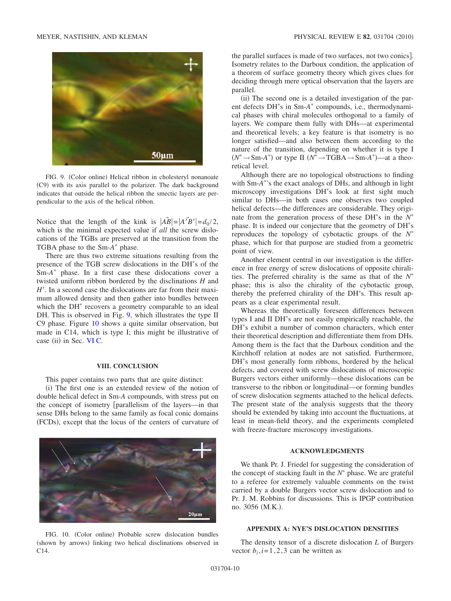

FIG. 9. (Color online) Helical ribbon in cholesteryl nonanoate (C9) with its axis parallel to the polarizer. The dark background indicates that outside the helical ribbon the smectic layers are perpendicular to the axis of the helical ribbon.

Notice that the length of the kink is  $|\tilde{AB}| = |\tilde{A'B'}| = d_0/2$ , which is the minimal expected value if *all* the screw dislocations of the TGBs are preserved at the transition from the TGBA phase to the Sm- $A^*$  phase.

There are thus two extreme situations resulting from the presence of the TGB screw dislocations in the DH s of the Sm-A<sup>\*</sup> phase. In a first case these dislocations cover a twisted uniform ribbon bordered by the disclinations *H* and *H*. In a second case the dislocations are far from their maximum allowed density and then gather into bundles between which the  $DH^*$  recovers a geometry comparable to an ideal DH. This is observed in Fig. 9, which illustrates the type II C9 phase. Figure 10 shows a quite similar observation, but made in C14, which is type I; this might be illustrative of case (ii) in Sec. VI C.

#### **VIII. CONCLUSION**

This paper contains two parts that are quite distinct:

(i) The first one is an extended review of the notion of double helical defect in Sm-*A* compounds, with stress put on the concept of isometry [parallelism of the layers—in that sense DHs belong to the same family as focal conic domains (FCDs), except that the locus of the centers of curvature of



FIG. 10. (Color online) Probable screw dislocation bundles (shown by arrows) linking two helical disclinations observed in C14.

the parallel surfaces is made of two surfaces, not two conics]. Isometry relates to the Darboux condition, the application of a theorem of surface geometry theory which gives clues for deciding through mere optical observation that the layers are parallel.

(ii) The second one is a detailed investigation of the parent defects DH<sup>\*</sup>s in Sm-A<sup>\*</sup> compounds, i.e., thermodynamical phases with chiral molecules orthogonal to a family of layers. We compare them fully with DHs—at experimental and theoretical levels; a key feature is that isometry is no longer satisfied—and also between them according to the nature of the transition, depending on whether it is type I  $(N^* \rightarrow Sm-A^*)$  or type II  $(N^* \rightarrow TGBA \rightarrow Sm-A^*)$ —at a theoretical level.

Although there are no topological obstructions to finding with Sm-*A* 's the exact analogs of DHs, and although in light microscopy investigations DH s look at first sight much similar to DHs—in both cases one observes two coupled helical defects—the differences are considerable. They originate from the generation process of these DH<sup>\*</sup>s in the  $N^*$ phase. It is indeed our conjecture that the geometry of DH s reproduces the topology of cybotactic groups of the *N* phase, which for that purpose are studied from a geometric point of view.

Another element central in our investigation is the difference in free energy of screw dislocations of opposite chiralities. The preferred chirality is the same as that of the  $N^*$ phase; this is also the chirality of the cybotactic group, thereby the preferred chirality of the DH s. This result appears as a clear experimental result.

Whereas the theoretically foreseen differences between types I and II DH s are not easily empirically reachable, the DH s exhibit a number of common characters, which enter their theoretical description and differentiate them from DHs. Among them is the fact that the Darboux condition and the Kirchhoff relation at nodes are not satisfied. Furthermore, DH s most generally form ribbons, bordered by the helical defects, and covered with screw dislocations of microscopic Burgers vectors either uniformly—these dislocations can be transverse to the ribbon or longitudinal—or forming bundles of screw dislocation segments attached to the helical defects. The present state of the analysis suggests that the theory should be extended by taking into account the fluctuations, at least in mean-field theory, and the experiments completed with freeze-fracture microscopy investigations.

#### **ACKNOWLEDGMENTS**

We thank Pr. J. Friedel for suggesting the consideration of the concept of stacking fault in the  $N^*$  phase. We are grateful to a referee for extremely valuable comments on the twist carried by a double Burgers vector screw dislocation and to Pr. J. M. Robbins for discussions. This is IPGP contribution no. 3056 (M.K.).

#### **APPENDIX A: NYE'S DISLOCATION DENSITIES**

The density tensor of a discrete dislocation *L* of Burgers vector  $b_i$ ,  $i=1,2,3$  can be written as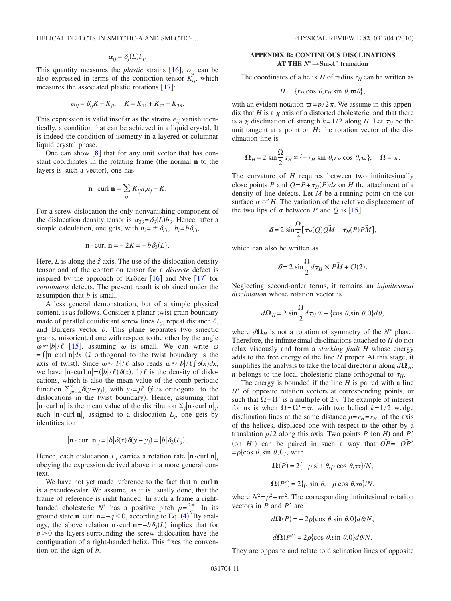$$
\alpha_{ij} = \delta_j(L) b_i.
$$

This quantity measures the *plastic* strains  $[16]$ ;  $\alpha_{ij}$  can be also expressed in terms of the contortion tensor  $K_{ii}$ , which measures the associated plastic rotations  $[17]$ :

$$
\alpha_{ij} = \delta_{ij} K - K_{ji}, \quad K = K_{11} + K_{22} + K_{33}.
$$

This expression is valid insofar as the strains  $e_{ij}$  vanish identically, a condition that can be achieved in a liquid crystal. It is indeed the condition of isometry in a layered or columnar liquid crystal phase.

One can show  $\lceil 8 \rceil$  that for any unit vector that has constant coordinates in the rotating frame (the normal **n** to the layers is such a vector), one has

$$
\mathbf{n} \cdot \text{curl } \mathbf{n} = \sum_{ij} K_{ij} n_i n_j - K.
$$

For a screw dislocation the only nonvanishing component of the dislocation density tensor is  $\alpha_{33} = \delta_3(L)b_3$ . Hence, after a simple calculation, one gets, with  $n_i = \pm \delta_{i3}$ ,  $b_i = b\delta_{i3}$ ,

$$
\mathbf{n} \cdot \text{curl } \mathbf{n} = -2K = -b \, \delta_3(L).
$$

Here,  $L$  is along the  $\hat{z}$  axis. The use of the dislocation density tensor and of the contortion tensor for a *discrete* defect is inspired by the approach of Kröner  $[16]$  and Nye  $[17]$  for *continuous* defects. The present result is obtained under the assumption that *b* is small.

A less general demonstration, but of a simple physical content, is as follows. Consider a planar twist grain boundary made of parallel equidistant screw lines  $L_i$ , repeat distance  $\ell$ , and Burgers vector *b*. This plane separates two smectic grains, misoriented one with respect to the other by the angle  $\omega \approx |b|/\ell$  [15], assuming  $\omega$  is small. We can write  $\omega$  $=\int \int \mathbf{n} \cdot \text{curl } \mathbf{n} \, dx$  ( $\hat{x}$  orthogonal to the twist boundary is the axis of twist). Since  $\omega \approx |b|/\ell$  also reads  $\omega \approx |b|/\ell \int \delta(x) dx$ , we have  $|\mathbf{n} \cdot \text{curl } \mathbf{n}| = (|\mathbf{b}|/\mathbf{\ell}) \delta(\mathbf{x})$ .  $1/\mathbf{\ell}$  is the density of dislocations, which is also the mean value of the comb periodic function  $\sum_{j=-\infty}^{\infty} \delta(y-y_j)$ , with  $y_j = j\ell$  ( $\hat{y}$  is orthogonal to the dislocations in the twist boundary). Hence, assuming that  $|\mathbf{n} \cdot \text{curl } \mathbf{n}|$  is the mean value of the distribution  $\Sigma_i |\mathbf{n} \cdot \text{curl } \mathbf{n}|_i$ , each  $|\mathbf{n} \cdot \text{curl} \; \mathbf{n}|_i$  assigned to a dislocation  $L_i$ , one gets by identification

$$
|\mathbf{n} \cdot \text{curl } \mathbf{n}|_j = |b| \delta(x) \delta(y - y_j) = |b| \delta_3(L_j).
$$

Hence, each dislocation  $L_i$  carries a rotation rate  $|\mathbf{n} \cdot \text{curl} \mathbf{n}|_i$ obeying the expression derived above in a more general context.

We have not yet made reference to the fact that **n**·curl **n** is a pseudoscalar. We assume, as it is usually done, that the frame of reference is right handed. In such a frame a righthanded cholesteric  $N^*$  has a positive pitch  $p = \frac{2\pi}{q}$ . In its ground state  $\mathbf{n} \cdot \text{curl } \mathbf{n} = -q \lt 0$ , according to Eq. (4). By analogy, the above relation **n**⋅curl **n**=−*b* $\delta_3(L)$  implies that for  $b$  > 0 the layers surrounding the screw dislocation have the configuration of a right-handed helix. This fixes the convention on the sign of *b*.

## **APPENDIX B: CONTINUOUS DISCLINATIONS AT THE**  $N^* \rightarrow$ **Sm-***A*<sup>\*</sup> **transition**

The coordinates of a helix *H* of radius  $r_H$  can be written as

$$
H \equiv \{r_H \cos \theta, r_H \sin \theta, \varpi \theta\},\
$$

with an evident notation  $\varpi = p/2\pi$ . We assume in this appendix that *H* is a  $\chi$  axis of a distorted cholesteric, and that there is a  $\chi$  disclination of strength  $k=1/2$  along *H*. Let  $\tau_H$  be the unit tangent at a point on  $H$ ; the rotation vector of the disclination line is

$$
\Omega_H = 2 \sin \frac{\Omega}{2} \tau_H \propto \{-r_H \sin \theta, r_H \cos \theta, \varpi\}, \quad \Omega = \pi.
$$

The curvature of *H* requires between two infinitesimally close points *P* and  $Q = P + \tau_H(P)ds$  on *H* the attachment of a density of line defects. Let *M* be a running point on the cut surface  $\sigma$  of  $H$ . The variation of the relative displacement of the two lips of  $\sigma$  between *P* and *Q* is [15]

$$
\delta = 2 \sin \frac{\Omega}{2} [\tau_H(Q)Q\tilde{M} - \tau_H(P)P\tilde{M}],
$$

which can also be written as

$$
\delta = 2 \sin \frac{\Omega}{2} d\tau_H \times P\vec{M} + \mathcal{O}(2).
$$

Neglecting second-order terms, it remains an *infinitesimal disclination* whose rotation vector is

$$
d\Omega_H = 2 \sin \frac{\Omega}{2} d\tau_H \propto -\{\cos \theta, \sin \theta, 0\} d\theta,
$$

where  $d\Omega_H$  is not a rotation of symmetry of the  $N^*$  phase. Therefore, the infinitesimal disclinations attached to *H* do not relax viscously and form a *stacking fault H* whose energy adds to the free energy of the line *H* proper. At this stage, it simplifies the analysis to take the local director *n* along  $d\Omega$ <sub>H</sub>; *n* belongs to the local cholesteric plane orthogonal to  $\tau$ <sup>*H*</sup>.

The energy is bounded if the line *H* is paired with a line *H*<sup> $\prime$ </sup> of opposite rotation vectors at corresponding points, or such that  $\Omega + \Omega'$  is a multiple of  $2\pi$ . The example of interest for us is when  $\Omega = \Omega' = \pi$ , with two helical  $k = 1/2$  wedge disclination lines at the same distance  $\rho = r_H = r_{H'}$  of the axis of the helices, displaced one with respect to the other by a translation  $p/2$  along this axis. Two points  $P$  (on  $H$ ) and  $P'$ (on *H'*) can be paired in such a way that  $\overrightarrow{OP} = -\overrightarrow{OP}'$  $=\rho\{\cos \theta, \sin \theta, 0\}$ , with

$$
\Omega(P) = 2\{-\rho \sin \theta, \rho \cos \theta, \varpi\}/N,
$$

$$
\Omega(P') = 2\{\rho \sin \theta, -\rho \cos \theta, \varpi\}/N,
$$

where  $N^2 = \rho^2 + \varpi^2$ . The corresponding infinitesimal rotation vectors in  $\overline{P}$  and  $P'$  are

 $d\Omega(P) = -2\rho\{\cos \theta, \sin \theta, 0\}d\theta/N,$ 

$$
d\Omega(P') = 2\rho\{\cos \theta, \sin \theta, 0\}d\theta/N.
$$

They are opposite and relate to disclination lines of opposite